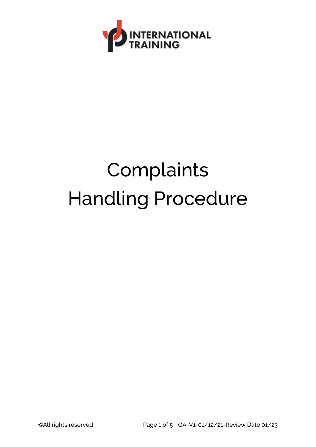

# **Complaints** Handling Procedure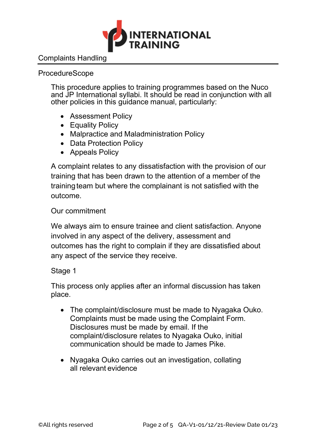

## Complaints Handling

#### ProcedureScope

This procedure applies to training programmes based on the Nuco and JP International syllabi. It should be read in conjunction with all other policies in this guidance manual, particularly:

- Assessment Policy
- Equality Policy
- Malpractice and Maladministration Policy
- Data Protection Policy
- Appeals Policy

A complaint relates to any dissatisfaction with the provision of our training that has been drawn to the attention of a member of the training team but where the complainant is not satisfied with the outcome.

### Our commitment

We always aim to ensure trainee and client satisfaction. Anyone involved in any aspect of the delivery, assessment and outcomes has the right to complain if they are dissatisfied about any aspect of the service they receive.

### Stage 1

This process only applies after an informal discussion has taken place.

- The complaint/disclosure must be made to Nyagaka Ouko. Complaints must be made using the Complaint Form. Disclosures must be made by email. If the complaint/disclosure relates to Nyagaka Ouko, initial communication should be made to James Pike.
- Nyagaka Ouko carries out an investigation, collating all relevant evidence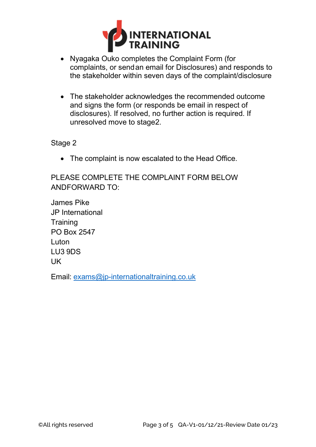

- Nyagaka Ouko completes the Complaint Form (for complaints, or send an email for Disclosures) and responds to the stakeholder within seven days of the complaint/disclosure
- The stakeholder acknowledges the recommended outcome and signs the form (or responds be email in respect of disclosures). If resolved, no further action is required. If unresolved move to stage2.

#### Stage 2

• The complaint is now escalated to the Head Office.

PLEASE COMPLETE THE COMPLAINT FORM BELOW ANDFORWARD TO:

James Pike JP International **Training** PO Box 2547 Luton LU3 9DS UK

Email: [exams@jp-internationaltraining.co.uk](mailto:exams@jp-internationaltraining.co.uk)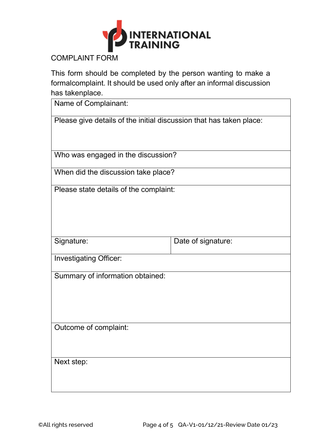

COMPLAINT FORM

This form should be completed by the person wanting to make a formalcomplaint. It should be used only after an informal discussion has takenplace.

| Name of Complainant:                                                |                    |  |
|---------------------------------------------------------------------|--------------------|--|
| Please give details of the initial discussion that has taken place: |                    |  |
|                                                                     |                    |  |
| Who was engaged in the discussion?                                  |                    |  |
| When did the discussion take place?                                 |                    |  |
| Please state details of the complaint:                              |                    |  |
|                                                                     |                    |  |
|                                                                     |                    |  |
| Signature:                                                          | Date of signature: |  |
| <b>Investigating Officer:</b>                                       |                    |  |
|                                                                     |                    |  |
| Summary of information obtained:                                    |                    |  |
|                                                                     |                    |  |
|                                                                     |                    |  |
| Outcome of complaint:                                               |                    |  |
|                                                                     |                    |  |
|                                                                     |                    |  |
| Next step:                                                          |                    |  |
|                                                                     |                    |  |
|                                                                     |                    |  |